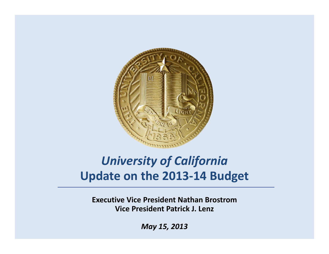

## *University of California* **Update on the 2013‐14 Budget**

**Executive Vice President Nathan Brostrom Vice P id t resident P tik <sup>a</sup> <sup>r</sup> <sup>c</sup> J. Lenz**

*May 15, 2013*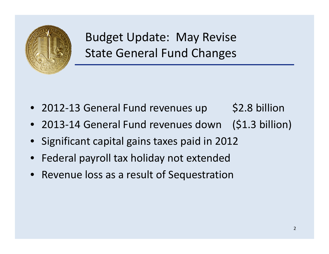

Budget Update: May Revise State General Fund Changes

- 2012-13 General Fund revenues up \$2.8 billion
- 2013‐14 General Fund revenues down (\$1.3 billion)
- Significant capital gains taxes paid in 2012
- Federal payroll tax holiday not extended
- Revenue loss as <sup>a</sup> result of Sequestration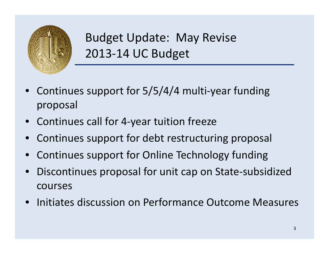

Budget Update: May Revise 2013‐14 UC Budget

- $\bullet$ ● Continues support for 5/5/4/4 multi-year funding proposal
- Continues call for 4‐year tuition freeze
- $\bullet$ • Continues support for debt restructuring proposal
- •Continues support for Online Technology funding
- $\bullet$ ● Discontinues proposal for unit cap on State-subsidized courses
- Initiates discussion on Performance Outcome Measures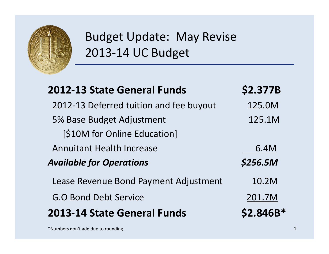

## Budget Update: May Revise 2013‐14 UC Budget

| <b>2012-13 State General Funds</b>      | \$2.377B  |
|-----------------------------------------|-----------|
| 2012-13 Deferred tuition and fee buyout | 125.0M    |
| 5% Base Budget Adjustment               | 125.1M    |
| [\$10M for Online Education]            |           |
| <b>Annuitant Health Increase</b>        | 6.4M      |
| <b>Available for Operations</b>         | \$256.5M  |
| Lease Revenue Bond Payment Adjustment   | 10.2M     |
| <b>G.O Bond Debt Service</b>            | 201.7M    |
| <b>2013-14 State General Funds</b>      | \$2.846B* |

 $^*$ Numbers don't add due to rounding.  $4$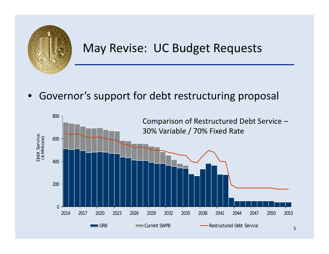

## May Revise: UC Budget Requests

 $\bullet$ Governor's support for debt restructuring proposal

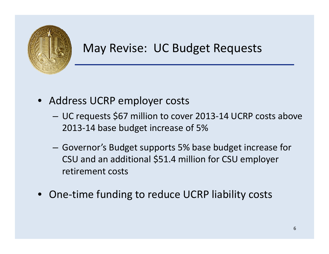

## May Revise: UC Budget Requests

- Address UCRP employer costs
	- – UC requests \$67 million to cover 2013‐<sup>14</sup> UCRP costs above 2013‐14 base budget increase of 5%
	- Governor's Budget supports 5% base budget increase for CSU and an additional \$51.4 million for CSU employer retirement costs
- One-time funding to reduce UCRP liability costs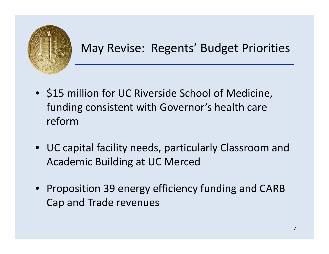

May Revise: Regents' Budget Priorities

- \$15 million for UC Riverside School of Medicine, funding consistent with Governor's health care reform
- UC capital facility needs, particularly Classroom and Academic Building at UC Merced
- Proposition 39 energy efficiency funding and CARB Cap and Trade revenues